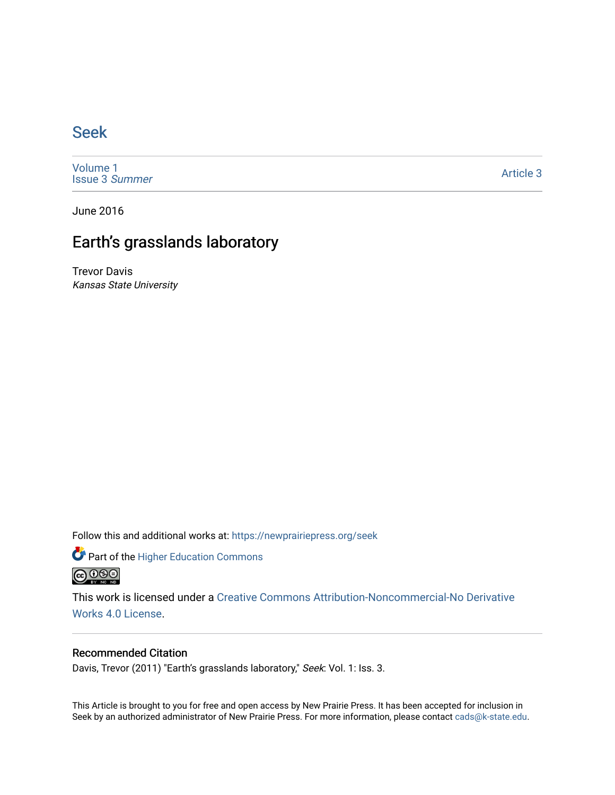## [Seek](https://newprairiepress.org/seek)

[Volume 1](https://newprairiepress.org/seek/vol1) [Issue 3](https://newprairiepress.org/seek/vol1/iss3) Summer

[Article 3](https://newprairiepress.org/seek/vol1/iss3/3) 

June 2016

# Earth's grasslands laboratory

Trevor Davis Kansas State University

Follow this and additional works at: [https://newprairiepress.org/seek](https://newprairiepress.org/seek?utm_source=newprairiepress.org%2Fseek%2Fvol1%2Fiss3%2F3&utm_medium=PDF&utm_campaign=PDFCoverPages)

Part of the [Higher Education Commons](http://network.bepress.com/hgg/discipline/1245?utm_source=newprairiepress.org%2Fseek%2Fvol1%2Fiss3%2F3&utm_medium=PDF&utm_campaign=PDFCoverPages) 



This work is licensed under a [Creative Commons Attribution-Noncommercial-No Derivative](https://creativecommons.org/licenses/by-nc-nd/4.0/)  [Works 4.0 License](https://creativecommons.org/licenses/by-nc-nd/4.0/).

## Recommended Citation

Davis, Trevor (2011) "Earth's grasslands laboratory," Seek: Vol. 1: Iss. 3.

This Article is brought to you for free and open access by New Prairie Press. It has been accepted for inclusion in Seek by an authorized administrator of New Prairie Press. For more information, please contact [cads@k-state.edu](mailto:cads@k-state.edu).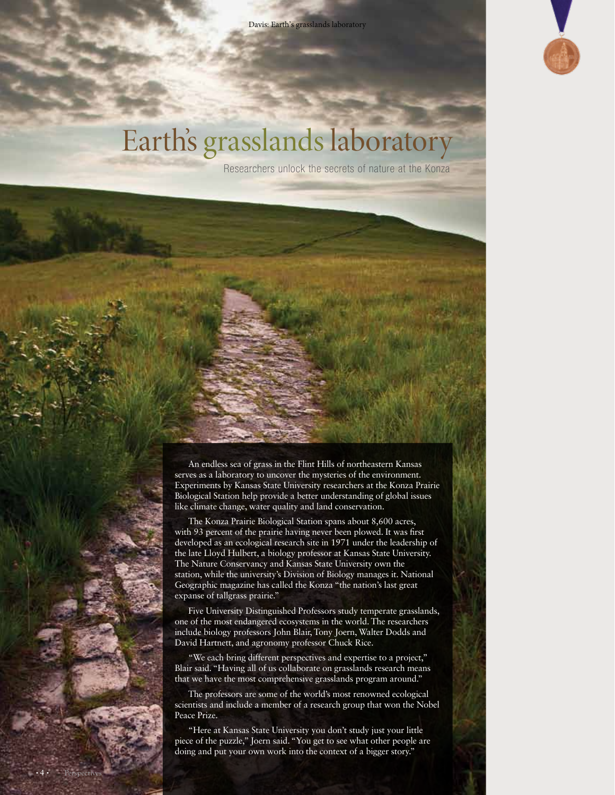Davis: Earth's grasslands laboratory



# Earth's grasslands laboratory

Researchers unlock the secrets of nature at the Konza

An endless sea of grass in the Flint Hills of northeastern Kansas serves as a laboratory to uncover the mysteries of the environment. Experiments by Kansas State University researchers at the Konza Prairie Biological Station help provide a better understanding of global issues like climate change, water quality and land conservation.

The Konza Prairie Biological Station spans about 8,600 acres, with 93 percent of the prairie having never been plowed. It was first developed as an ecological research site in 1971 under the leadership of the late Lloyd Hulbert, a biology professor at Kansas State University. The Nature Conservancy and Kansas State University own the station, while the university's Division of Biology manages it. National Geographic magazine has called the Konza "the nation's last great expanse of tallgrass prairie."

Five University Distinguished Professors study temperate grasslands, one of the most endangered ecosystems in the world. The researchers include biology professors John Blair, Tony Joern, Walter Dodds and David Hartnett, and agronomy professor Chuck Rice.

"We each bring different perspectives and expertise to a project," Blair said. "Having all of us collaborate on grasslands research means that we have the most comprehensive grasslands program around."

The professors are some of the world's most renowned ecological scientists and include a member of a research group that won the Nobel Peace Prize.

"Here at Kansas State University you don't study just your little piece of the puzzle," Joern said. "You get to see what other people are doing and put your own work into the context of a bigger story."